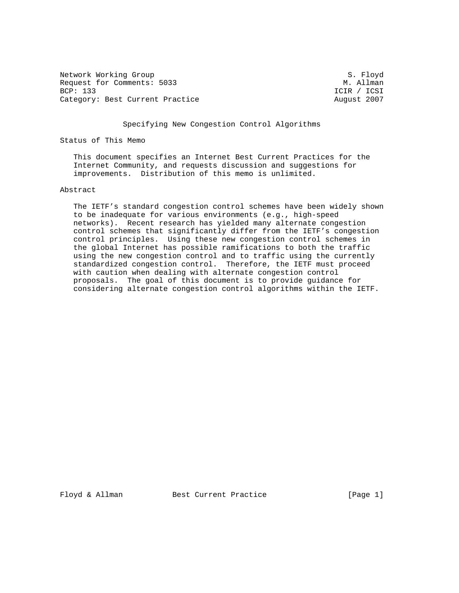Network Working Group S. Floyd Request for Comments: 5033 M. Allman<br>BCP: 133 ICIR / ICSI Category: Best Current Practice August 2007

ICIR / ICSI

Specifying New Congestion Control Algorithms

Status of This Memo

 This document specifies an Internet Best Current Practices for the Internet Community, and requests discussion and suggestions for improvements. Distribution of this memo is unlimited.

## Abstract

 The IETF's standard congestion control schemes have been widely shown to be inadequate for various environments (e.g., high-speed networks). Recent research has yielded many alternate congestion control schemes that significantly differ from the IETF's congestion control principles. Using these new congestion control schemes in the global Internet has possible ramifications to both the traffic using the new congestion control and to traffic using the currently standardized congestion control. Therefore, the IETF must proceed with caution when dealing with alternate congestion control proposals. The goal of this document is to provide guidance for considering alternate congestion control algorithms within the IETF.

Floyd & Allman Best Current Practice [Page 1]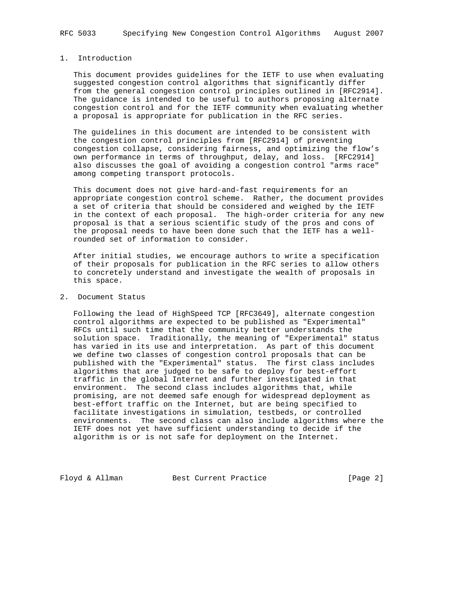# 1. Introduction

 This document provides guidelines for the IETF to use when evaluating suggested congestion control algorithms that significantly differ from the general congestion control principles outlined in [RFC2914]. The guidance is intended to be useful to authors proposing alternate congestion control and for the IETF community when evaluating whether a proposal is appropriate for publication in the RFC series.

 The guidelines in this document are intended to be consistent with the congestion control principles from [RFC2914] of preventing congestion collapse, considering fairness, and optimizing the flow's own performance in terms of throughput, delay, and loss. [RFC2914] also discusses the goal of avoiding a congestion control "arms race" among competing transport protocols.

 This document does not give hard-and-fast requirements for an appropriate congestion control scheme. Rather, the document provides a set of criteria that should be considered and weighed by the IETF in the context of each proposal. The high-order criteria for any new proposal is that a serious scientific study of the pros and cons of the proposal needs to have been done such that the IETF has a well rounded set of information to consider.

 After initial studies, we encourage authors to write a specification of their proposals for publication in the RFC series to allow others to concretely understand and investigate the wealth of proposals in this space.

## 2. Document Status

 Following the lead of HighSpeed TCP [RFC3649], alternate congestion control algorithms are expected to be published as "Experimental" RFCs until such time that the community better understands the solution space. Traditionally, the meaning of "Experimental" status has varied in its use and interpretation. As part of this document we define two classes of congestion control proposals that can be published with the "Experimental" status. The first class includes algorithms that are judged to be safe to deploy for best-effort traffic in the global Internet and further investigated in that environment. The second class includes algorithms that, while promising, are not deemed safe enough for widespread deployment as best-effort traffic on the Internet, but are being specified to facilitate investigations in simulation, testbeds, or controlled environments. The second class can also include algorithms where the IETF does not yet have sufficient understanding to decide if the algorithm is or is not safe for deployment on the Internet.

Floyd & Allman Best Current Practice [Page 2]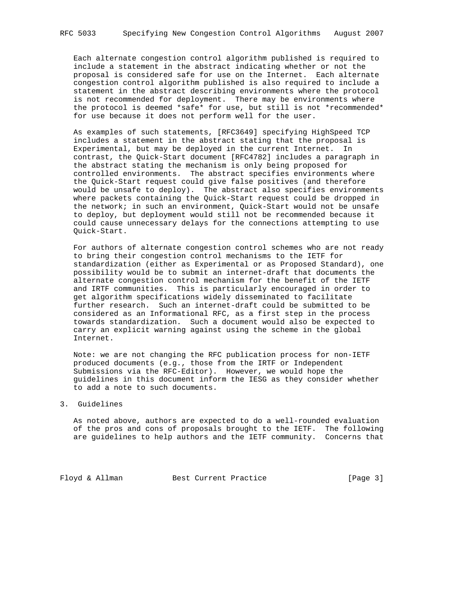Each alternate congestion control algorithm published is required to include a statement in the abstract indicating whether or not the proposal is considered safe for use on the Internet. Each alternate congestion control algorithm published is also required to include a statement in the abstract describing environments where the protocol is not recommended for deployment. There may be environments where the protocol is deemed \*safe\* for use, but still is not \*recommended\* for use because it does not perform well for the user.

 As examples of such statements, [RFC3649] specifying HighSpeed TCP includes a statement in the abstract stating that the proposal is Experimental, but may be deployed in the current Internet. In contrast, the Quick-Start document [RFC4782] includes a paragraph in the abstract stating the mechanism is only being proposed for controlled environments. The abstract specifies environments where the Quick-Start request could give false positives (and therefore would be unsafe to deploy). The abstract also specifies environments where packets containing the Quick-Start request could be dropped in the network; in such an environment, Quick-Start would not be unsafe to deploy, but deployment would still not be recommended because it could cause unnecessary delays for the connections attempting to use Quick-Start.

 For authors of alternate congestion control schemes who are not ready to bring their congestion control mechanisms to the IETF for standardization (either as Experimental or as Proposed Standard), one possibility would be to submit an internet-draft that documents the alternate congestion control mechanism for the benefit of the IETF and IRTF communities. This is particularly encouraged in order to get algorithm specifications widely disseminated to facilitate further research. Such an internet-draft could be submitted to be considered as an Informational RFC, as a first step in the process towards standardization. Such a document would also be expected to carry an explicit warning against using the scheme in the global Internet.

 Note: we are not changing the RFC publication process for non-IETF produced documents (e.g., those from the IRTF or Independent Submissions via the RFC-Editor). However, we would hope the guidelines in this document inform the IESG as they consider whether to add a note to such documents.

#### 3. Guidelines

 As noted above, authors are expected to do a well-rounded evaluation of the pros and cons of proposals brought to the IETF. The following are guidelines to help authors and the IETF community. Concerns that

Floyd & Allman Best Current Practice [Page 3]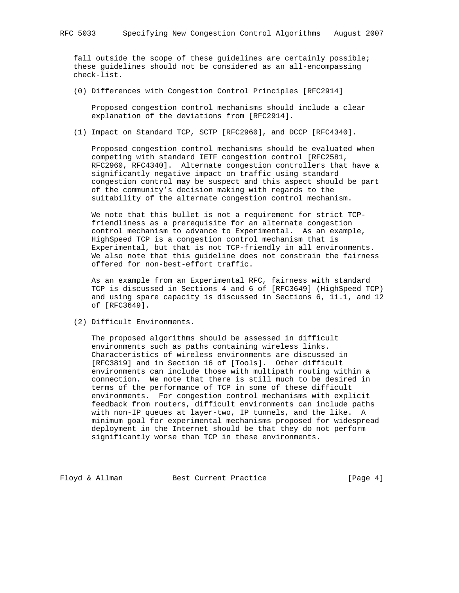fall outside the scope of these guidelines are certainly possible; these guidelines should not be considered as an all-encompassing check-list.

(0) Differences with Congestion Control Principles [RFC2914]

 Proposed congestion control mechanisms should include a clear explanation of the deviations from [RFC2914].

(1) Impact on Standard TCP, SCTP [RFC2960], and DCCP [RFC4340].

 Proposed congestion control mechanisms should be evaluated when competing with standard IETF congestion control [RFC2581, RFC2960, RFC4340]. Alternate congestion controllers that have a significantly negative impact on traffic using standard congestion control may be suspect and this aspect should be part of the community's decision making with regards to the suitability of the alternate congestion control mechanism.

We note that this bullet is not a requirement for strict TCP friendliness as a prerequisite for an alternate congestion control mechanism to advance to Experimental. As an example, HighSpeed TCP is a congestion control mechanism that is Experimental, but that is not TCP-friendly in all environments. We also note that this guideline does not constrain the fairness offered for non-best-effort traffic.

 As an example from an Experimental RFC, fairness with standard TCP is discussed in Sections 4 and 6 of [RFC3649] (HighSpeed TCP) and using spare capacity is discussed in Sections 6, 11.1, and 12 of [RFC3649].

(2) Difficult Environments.

 The proposed algorithms should be assessed in difficult environments such as paths containing wireless links. Characteristics of wireless environments are discussed in [RFC3819] and in Section 16 of [Tools]. Other difficult environments can include those with multipath routing within a connection. We note that there is still much to be desired in terms of the performance of TCP in some of these difficult environments. For congestion control mechanisms with explicit feedback from routers, difficult environments can include paths with non-IP queues at layer-two, IP tunnels, and the like. A minimum goal for experimental mechanisms proposed for widespread deployment in the Internet should be that they do not perform significantly worse than TCP in these environments.

Floyd & Allman Best Current Practice [Page 4]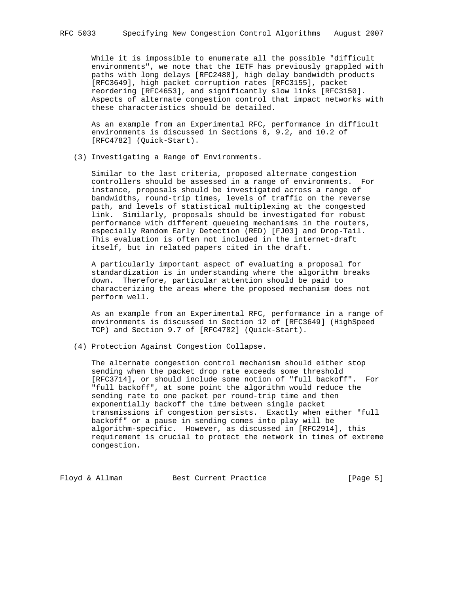While it is impossible to enumerate all the possible "difficult environments", we note that the IETF has previously grappled with paths with long delays [RFC2488], high delay bandwidth products [RFC3649], high packet corruption rates [RFC3155], packet reordering [RFC4653], and significantly slow links [RFC3150]. Aspects of alternate congestion control that impact networks with these characteristics should be detailed.

 As an example from an Experimental RFC, performance in difficult environments is discussed in Sections 6, 9.2, and 10.2 of [RFC4782] (Quick-Start).

(3) Investigating a Range of Environments.

 Similar to the last criteria, proposed alternate congestion controllers should be assessed in a range of environments. For instance, proposals should be investigated across a range of bandwidths, round-trip times, levels of traffic on the reverse path, and levels of statistical multiplexing at the congested link. Similarly, proposals should be investigated for robust performance with different queueing mechanisms in the routers, especially Random Early Detection (RED) [FJ03] and Drop-Tail. This evaluation is often not included in the internet-draft itself, but in related papers cited in the draft.

 A particularly important aspect of evaluating a proposal for standardization is in understanding where the algorithm breaks down. Therefore, particular attention should be paid to characterizing the areas where the proposed mechanism does not perform well.

 As an example from an Experimental RFC, performance in a range of environments is discussed in Section 12 of [RFC3649] (HighSpeed TCP) and Section 9.7 of [RFC4782] (Quick-Start).

(4) Protection Against Congestion Collapse.

 The alternate congestion control mechanism should either stop sending when the packet drop rate exceeds some threshold [RFC3714], or should include some notion of "full backoff". For "full backoff", at some point the algorithm would reduce the sending rate to one packet per round-trip time and then exponentially backoff the time between single packet transmissions if congestion persists. Exactly when either "full backoff" or a pause in sending comes into play will be algorithm-specific. However, as discussed in [RFC2914], this requirement is crucial to protect the network in times of extreme congestion.

Floyd & Allman Best Current Practice [Page 5]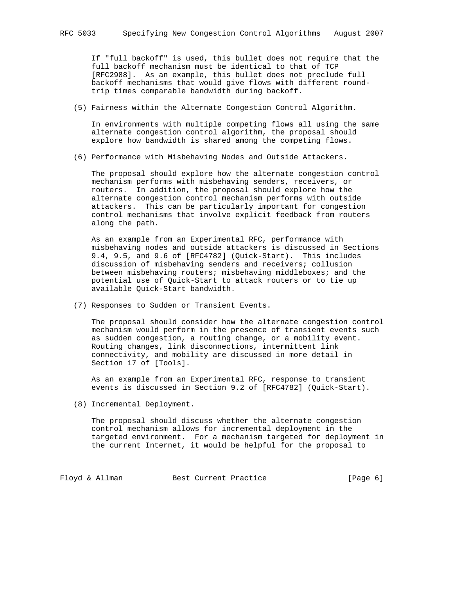If "full backoff" is used, this bullet does not require that the full backoff mechanism must be identical to that of TCP [RFC2988]. As an example, this bullet does not preclude full backoff mechanisms that would give flows with different round trip times comparable bandwidth during backoff.

(5) Fairness within the Alternate Congestion Control Algorithm.

 In environments with multiple competing flows all using the same alternate congestion control algorithm, the proposal should explore how bandwidth is shared among the competing flows.

(6) Performance with Misbehaving Nodes and Outside Attackers.

 The proposal should explore how the alternate congestion control mechanism performs with misbehaving senders, receivers, or routers. In addition, the proposal should explore how the alternate congestion control mechanism performs with outside attackers. This can be particularly important for congestion control mechanisms that involve explicit feedback from routers along the path.

 As an example from an Experimental RFC, performance with misbehaving nodes and outside attackers is discussed in Sections 9.4, 9.5, and 9.6 of [RFC4782] (Quick-Start). This includes discussion of misbehaving senders and receivers; collusion between misbehaving routers; misbehaving middleboxes; and the potential use of Quick-Start to attack routers or to tie up available Quick-Start bandwidth.

(7) Responses to Sudden or Transient Events.

 The proposal should consider how the alternate congestion control mechanism would perform in the presence of transient events such as sudden congestion, a routing change, or a mobility event. Routing changes, link disconnections, intermittent link connectivity, and mobility are discussed in more detail in Section 17 of [Tools].

 As an example from an Experimental RFC, response to transient events is discussed in Section 9.2 of [RFC4782] (Quick-Start).

(8) Incremental Deployment.

 The proposal should discuss whether the alternate congestion control mechanism allows for incremental deployment in the targeted environment. For a mechanism targeted for deployment in the current Internet, it would be helpful for the proposal to

Floyd & Allman Best Current Practice [Page 6]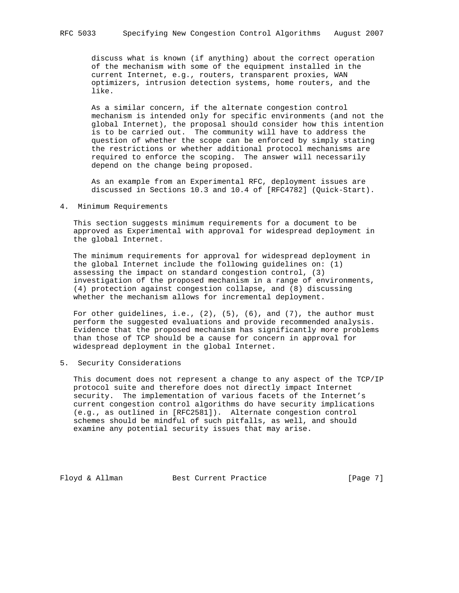discuss what is known (if anything) about the correct operation of the mechanism with some of the equipment installed in the current Internet, e.g., routers, transparent proxies, WAN optimizers, intrusion detection systems, home routers, and the like.

 As a similar concern, if the alternate congestion control mechanism is intended only for specific environments (and not the global Internet), the proposal should consider how this intention is to be carried out. The community will have to address the question of whether the scope can be enforced by simply stating the restrictions or whether additional protocol mechanisms are required to enforce the scoping. The answer will necessarily depend on the change being proposed.

 As an example from an Experimental RFC, deployment issues are discussed in Sections 10.3 and 10.4 of [RFC4782] (Quick-Start).

## 4. Minimum Requirements

 This section suggests minimum requirements for a document to be approved as Experimental with approval for widespread deployment in the global Internet.

 The minimum requirements for approval for widespread deployment in the global Internet include the following guidelines on: (1) assessing the impact on standard congestion control, (3) investigation of the proposed mechanism in a range of environments, (4) protection against congestion collapse, and (8) discussing whether the mechanism allows for incremental deployment.

For other guidelines, i.e.,  $(2)$ ,  $(5)$ ,  $(6)$ , and  $(7)$ , the author must perform the suggested evaluations and provide recommended analysis. Evidence that the proposed mechanism has significantly more problems than those of TCP should be a cause for concern in approval for widespread deployment in the global Internet.

5. Security Considerations

 This document does not represent a change to any aspect of the TCP/IP protocol suite and therefore does not directly impact Internet security. The implementation of various facets of the Internet's current congestion control algorithms do have security implications (e.g., as outlined in [RFC2581]). Alternate congestion control schemes should be mindful of such pitfalls, as well, and should examine any potential security issues that may arise.

Floyd & Allman Best Current Practice [Page 7]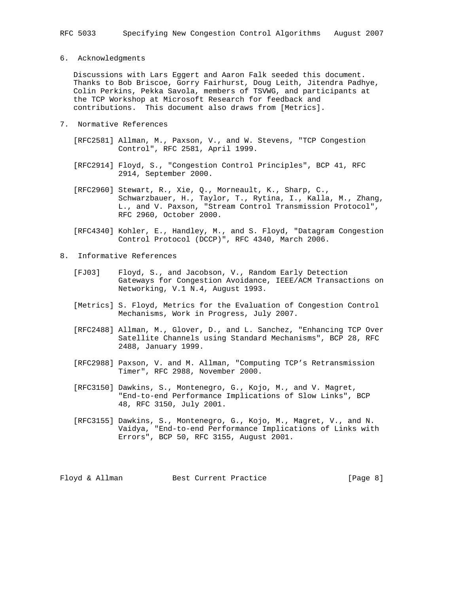6. Acknowledgments

 Discussions with Lars Eggert and Aaron Falk seeded this document. Thanks to Bob Briscoe, Gorry Fairhurst, Doug Leith, Jitendra Padhye, Colin Perkins, Pekka Savola, members of TSVWG, and participants at the TCP Workshop at Microsoft Research for feedback and contributions. This document also draws from [Metrics].

- 7. Normative References
	- [RFC2581] Allman, M., Paxson, V., and W. Stevens, "TCP Congestion Control", RFC 2581, April 1999.
	- [RFC2914] Floyd, S., "Congestion Control Principles", BCP 41, RFC 2914, September 2000.
	- [RFC2960] Stewart, R., Xie, Q., Morneault, K., Sharp, C., Schwarzbauer, H., Taylor, T., Rytina, I., Kalla, M., Zhang, L., and V. Paxson, "Stream Control Transmission Protocol", RFC 2960, October 2000.
	- [RFC4340] Kohler, E., Handley, M., and S. Floyd, "Datagram Congestion Control Protocol (DCCP)", RFC 4340, March 2006.
- 8. Informative References
	- [FJ03] Floyd, S., and Jacobson, V., Random Early Detection Gateways for Congestion Avoidance, IEEE/ACM Transactions on Networking, V.1 N.4, August 1993.
	- [Metrics] S. Floyd, Metrics for the Evaluation of Congestion Control Mechanisms, Work in Progress, July 2007.
	- [RFC2488] Allman, M., Glover, D., and L. Sanchez, "Enhancing TCP Over Satellite Channels using Standard Mechanisms", BCP 28, RFC 2488, January 1999.
	- [RFC2988] Paxson, V. and M. Allman, "Computing TCP's Retransmission Timer", RFC 2988, November 2000.
	- [RFC3150] Dawkins, S., Montenegro, G., Kojo, M., and V. Magret, "End-to-end Performance Implications of Slow Links", BCP 48, RFC 3150, July 2001.
	- [RFC3155] Dawkins, S., Montenegro, G., Kojo, M., Magret, V., and N. Vaidya, "End-to-end Performance Implications of Links with Errors", BCP 50, RFC 3155, August 2001.

Floyd & Allman Best Current Practice [Page 8]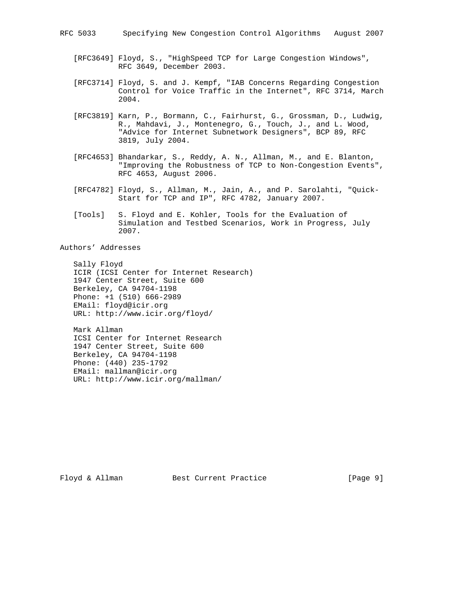- [RFC3649] Floyd, S., "HighSpeed TCP for Large Congestion Windows", RFC 3649, December 2003.
- [RFC3714] Floyd, S. and J. Kempf, "IAB Concerns Regarding Congestion Control for Voice Traffic in the Internet", RFC 3714, March 2004.
- [RFC3819] Karn, P., Bormann, C., Fairhurst, G., Grossman, D., Ludwig, R., Mahdavi, J., Montenegro, G., Touch, J., and L. Wood, "Advice for Internet Subnetwork Designers", BCP 89, RFC 3819, July 2004.
- [RFC4653] Bhandarkar, S., Reddy, A. N., Allman, M., and E. Blanton, "Improving the Robustness of TCP to Non-Congestion Events", RFC 4653, August 2006.
- [RFC4782] Floyd, S., Allman, M., Jain, A., and P. Sarolahti, "Quick- Start for TCP and IP", RFC 4782, January 2007.
- [Tools] S. Floyd and E. Kohler, Tools for the Evaluation of Simulation and Testbed Scenarios, Work in Progress, July 2007.

Authors' Addresses

 Sally Floyd ICIR (ICSI Center for Internet Research) 1947 Center Street, Suite 600 Berkeley, CA 94704-1198 Phone: +1 (510) 666-2989 EMail: floyd@icir.org URL: http://www.icir.org/floyd/

 Mark Allman ICSI Center for Internet Research 1947 Center Street, Suite 600 Berkeley, CA 94704-1198 Phone: (440) 235-1792 EMail: mallman@icir.org URL: http://www.icir.org/mallman/

Floyd & Allman Best Current Practice [Page 9]